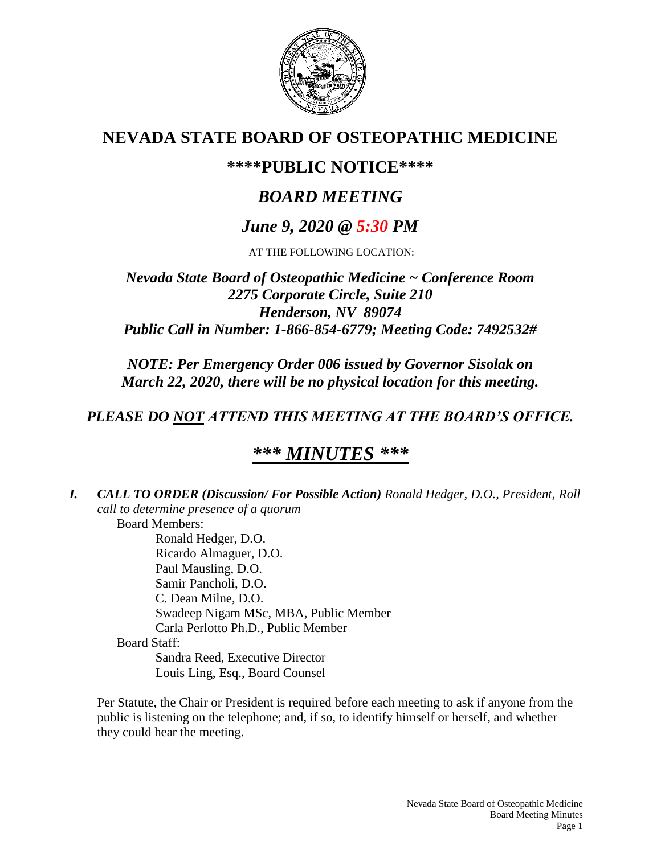

# **NEVADA STATE BOARD OF OSTEOPATHIC MEDICINE**

# **\*\*\*\*PUBLIC NOTICE\*\*\*\***

# *BOARD MEETING*

# *June 9, 2020 @ 5:30 PM*

AT THE FOLLOWING LOCATION:

## *Nevada State Board of Osteopathic Medicine ~ Conference Room 2275 Corporate Circle, Suite 210 Henderson, NV 89074 Public Call in Number: 1-866-854-6779; Meeting Code: 7492532#*

*NOTE: Per Emergency Order 006 issued by Governor Sisolak on March 22, 2020, there will be no physical location for this meeting.*

# *PLEASE DO NOT ATTEND THIS MEETING AT THE BOARD'S OFFICE.*

# *\*\*\* MINUTES \*\*\**

*I. CALL TO ORDER (Discussion/ For Possible Action) Ronald Hedger, D.O., President, Roll call to determine presence of a quorum* Board Members: Ronald Hedger, D.O. Ricardo Almaguer, D.O. Paul Mausling, D.O. Samir Pancholi, D.O. C. Dean Milne, D.O. Swadeep Nigam MSc, MBA, Public Member Carla Perlotto Ph.D., Public Member Board Staff: Sandra Reed, Executive Director Louis Ling, Esq., Board Counsel

Per Statute, the Chair or President is required before each meeting to ask if anyone from the public is listening on the telephone; and, if so, to identify himself or herself, and whether they could hear the meeting.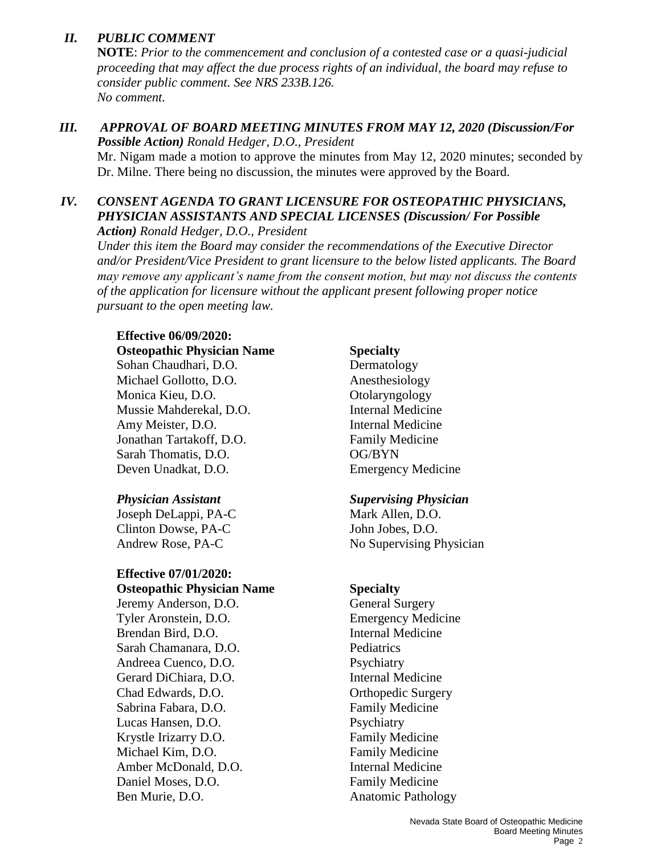## *II. PUBLIC COMMENT*

**NOTE**: *Prior to the commencement and conclusion of a contested case or a quasi-judicial proceeding that may affect the due process rights of an individual, the board may refuse to consider public comment. See NRS 233B.126. No comment.*

# *III. APPROVAL OF BOARD MEETING MINUTES FROM MAY 12, 2020 (Discussion/For Possible Action) Ronald Hedger, D.O., President*

Mr. Nigam made a motion to approve the minutes from May 12, 2020 minutes; seconded by Dr. Milne. There being no discussion, the minutes were approved by the Board.

## *IV. CONSENT AGENDA TO GRANT LICENSURE FOR OSTEOPATHIC PHYSICIANS, PHYSICIAN ASSISTANTS AND SPECIAL LICENSES (Discussion/ For Possible*

*Action) Ronald Hedger, D.O., President*

*Under this item the Board may consider the recommendations of the Executive Director and/or President/Vice President to grant licensure to the below listed applicants. The Board may remove any applicant's name from the consent motion, but may not discuss the contents of the application for licensure without the applicant present following proper notice pursuant to the open meeting law.*

## **Effective 06/09/2020:**

**Osteopathic Physician Name Specialty**

Sohan Chaudhari, D.O. Dermatology Michael Gollotto, D.O. Anesthesiology Monica Kieu, D.O. Charyngology Mussie Mahderekal, D.O. Internal Medicine Amy Meister, D.O. **Internal Medicine** Jonathan Tartakoff, D.O. Family Medicine Sarah Thomatis, D.O. **OG/BYN** Deven Unadkat, D.O. Emergency Medicine

Joseph DeLappi, PA-C Mark Allen, D.O. Clinton Dowse, PA-C John Jobes, D.O.

## **Effective 07/01/2020:**

**Osteopathic Physician Name Specialty** Jeremy Anderson, D.O. General Surgery Tyler Aronstein, D.O. Emergency Medicine Brendan Bird, D.O. **Internal Medicine** Sarah Chamanara, D.O. Pediatrics Andreea Cuenco, D.O. Psychiatry Gerard DiChiara, D.O. **Internal Medicine** Chad Edwards, D.O. Chad Edwards, D.O. Sabrina Fabara, D.O. Family Medicine Lucas Hansen, D.O. Psychiatry Krystle Irizarry D.O. Family Medicine Michael Kim, D.O. **Family Medicine** Amber McDonald, D.O. **Internal Medicine** Daniel Moses, D.O. **Family Medicine** Ben Murie, D.O. **Anatomic Pathology** 

## *Physician Assistant Supervising Physician*

Andrew Rose, PA-C No Supervising Physician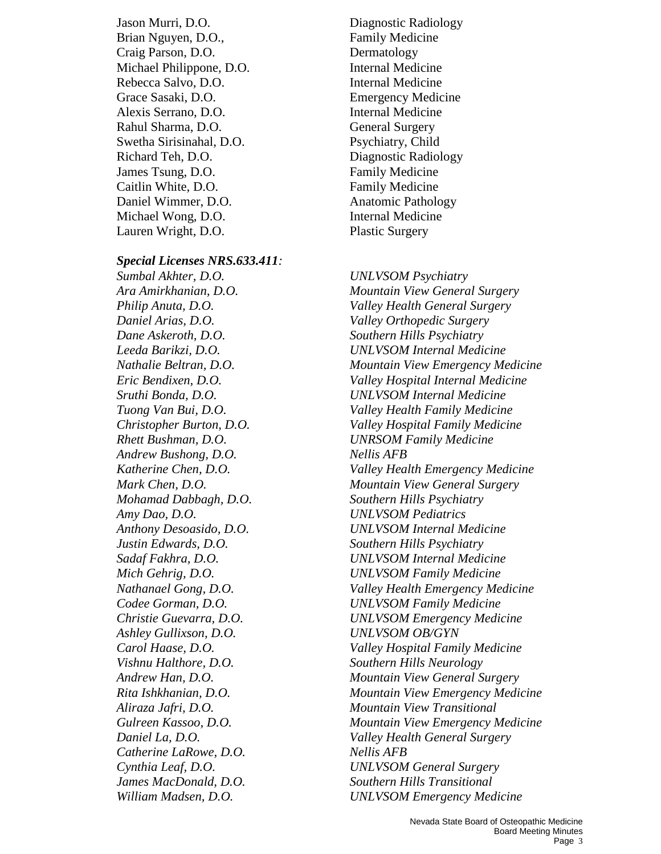Jason Murri, D.O. Diagnostic Radiology Brian Nguyen, D.O., Family Medicine Craig Parson, D.O. Dermatology Michael Philippone, D.O. **Internal Medicine** Rebecca Salvo, D.O. **Internal Medicine** Grace Sasaki, D.O. Emergency Medicine Alexis Serrano, D.O. Internal Medicine Rahul Sharma, D.O. General Surgery Swetha Sirisinahal, D.O. Psychiatry, Child Richard Teh, D.O. Diagnostic Radiology James Tsung, D.O. Family Medicine Caitlin White, D.O. **Family Medicine** Daniel Wimmer, D.O. Anatomic Pathology Michael Wong, D.O. **Internal Medicine** Lauren Wright, D.O. Plastic Surgery

### *Special Licenses NRS.633.411:*

*Sumbal Akhter, D.O. UNLVSOM Psychiatry Daniel Arias, D.O. Valley Orthopedic Surgery Dane Askeroth, D.O. Southern Hills Psychiatry Rhett Bushman, D.O. UNRSOM Family Medicine Andrew Bushong, D.O. Nellis AFB Mohamad Dabbagh, D.O. Southern Hills Psychiatry Amy Dao, D.O. UNLVSOM Pediatrics Justin Edwards, D.O. Southern Hills Psychiatry Ashley Gullixson, D.O. UNLVSOM OB/GYN Vishnu Halthore, D.O. Southern Hills Neurology Catherine LaRowe, D.O. Nellis AFB James MacDonald, D.O. Southern Hills Transitional William Madsen, D.O. UNLVSOM Emergency Medicine*

*Ara Amirkhanian, D.O. Mountain View General Surgery Philip Anuta, D.O. Valley Health General Surgery Leeda Barikzi, D.O. UNLVSOM Internal Medicine Nathalie Beltran, D.O. Mountain View Emergency Medicine Eric Bendixen, D.O. Valley Hospital Internal Medicine Sruthi Bonda, D.O. UNLVSOM Internal Medicine Tuong Van Bui, D.O. Valley Health Family Medicine Christopher Burton, D.O. Valley Hospital Family Medicine Katherine Chen, D.O. Valley Health Emergency Medicine Mark Chen, D.O. Mountain View General Surgery Anthony Desoasido, D.O. UNLVSOM Internal Medicine Sadaf Fakhra, D.O. UNLVSOM Internal Medicine Mich Gehrig, D.O. UNLVSOM Family Medicine Nathanael Gong, D.O. Valley Health Emergency Medicine Codee Gorman, D.O. UNLVSOM Family Medicine Christie Guevarra, D.O. UNLVSOM Emergency Medicine Carol Haase, D.O. Valley Hospital Family Medicine Andrew Han, D.O. Mountain View General Surgery Rita Ishkhanian, D.O. Mountain View Emergency Medicine Aliraza Jafri, D.O. Mountain View Transitional Gulreen Kassoo, D.O. Mountain View Emergency Medicine Daniel La, D.O. Valley Health General Surgery Cynthia Leaf, D.O. UNLVSOM General Surgery*

> Nevada State Board of Osteopathic Medicine Board Meeting Minutes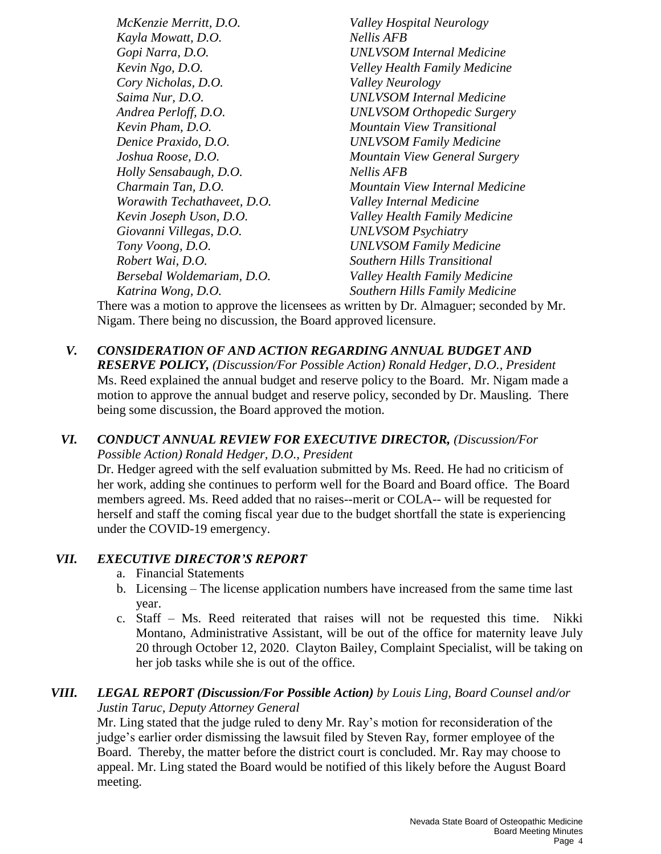*McKenzie Merritt, D.O. Valley Hospital Neurology Kayla Mowatt, D.O. Nellis AFB Gopi Narra, D.O. UNLVSOM Internal Medicine Kevin Ngo, D.O. Velley Health Family Medicine Cory Nicholas, D.O. Valley Neurology Saima Nur, D.O. UNLVSOM Internal Medicine Andrea Perloff, D.O. UNLVSOM Orthopedic Surgery Kevin Pham, D.O. Mountain View Transitional Denice Praxido, D.O. UNLVSOM Family Medicine Joshua Roose, D.O. Mountain View General Surgery Holly Sensabaugh, D.O. Nellis AFB Charmain Tan, D.O. Mountain View Internal Medicine Worawith Techathaveet, D.O. Valley Internal Medicine Kevin Joseph Uson, D.O. Valley Health Family Medicine Giovanni Villegas, D.O. UNLVSOM Psychiatry Tony Voong, D.O. UNLVSOM Family Medicine Robert Wai, D.O. Southern Hills Transitional Bersebal Woldemariam, D.O. Valley Health Family Medicine Katrina Wong, D.O. Southern Hills Family Medicine*

There was a motion to approve the licensees as written by Dr. Almaguer; seconded by Mr. Nigam. There being no discussion, the Board approved licensure.

## *V. CONSIDERATION OF AND ACTION REGARDING ANNUAL BUDGET AND*

*RESERVE POLICY, (Discussion/For Possible Action) Ronald Hedger, D.O., President* Ms. Reed explained the annual budget and reserve policy to the Board. Mr. Nigam made a motion to approve the annual budget and reserve policy, seconded by Dr. Mausling. There being some discussion, the Board approved the motion.

### *VI. CONDUCT ANNUAL REVIEW FOR EXECUTIVE DIRECTOR, (Discussion/For Possible Action) Ronald Hedger, D.O., President*

Dr. Hedger agreed with the self evaluation submitted by Ms. Reed. He had no criticism of her work, adding she continues to perform well for the Board and Board office. The Board members agreed. Ms. Reed added that no raises--merit or COLA-- will be requested for herself and staff the coming fiscal year due to the budget shortfall the state is experiencing under the COVID-19 emergency.

## *VII. EXECUTIVE DIRECTOR'S REPORT*

- a. Financial Statements
- b. Licensing The license application numbers have increased from the same time last year.
- c. Staff Ms. Reed reiterated that raises will not be requested this time. Nikki Montano, Administrative Assistant, will be out of the office for maternity leave July 20 through October 12, 2020. Clayton Bailey, Complaint Specialist, will be taking on her job tasks while she is out of the office.

### *VIII. LEGAL REPORT (Discussion/For Possible Action) by Louis Ling, Board Counsel and/or Justin Taruc, Deputy Attorney General*

Mr. Ling stated that the judge ruled to deny Mr. Ray's motion for reconsideration of the judge's earlier order dismissing the lawsuit filed by Steven Ray, former employee of the Board. Thereby, the matter before the district court is concluded. Mr. Ray may choose to appeal. Mr. Ling stated the Board would be notified of this likely before the August Board meeting.